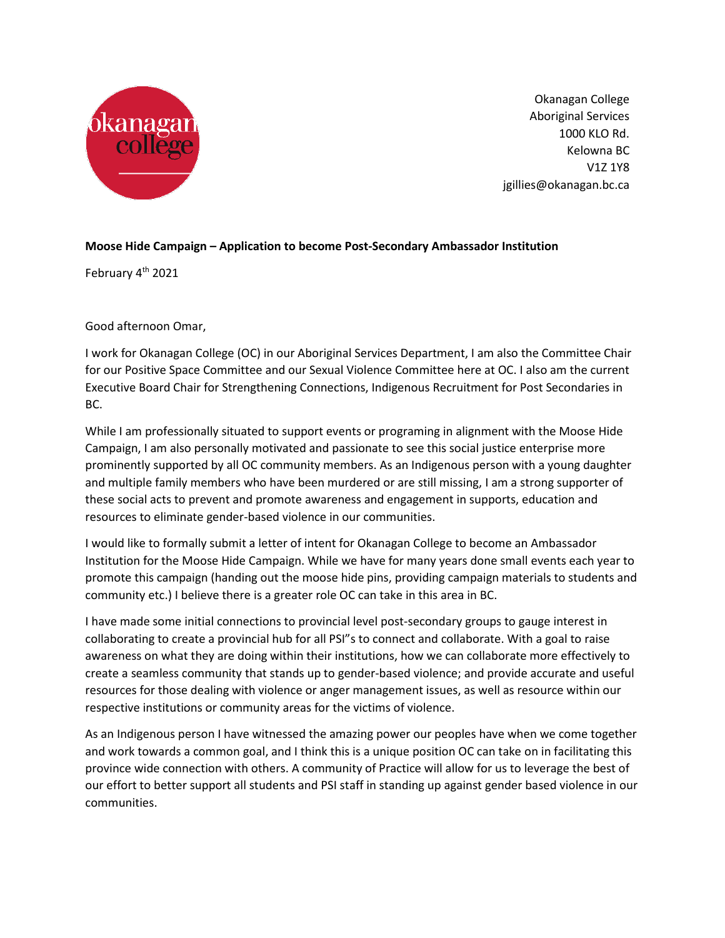

Okanagan College Aboriginal Services 1000 KLO Rd. Kelowna BC V1Z 1Y8 jgillies@okanagan.bc.ca

## **Moose Hide Campaign – Application to become Post-Secondary Ambassador Institution**

February 4<sup>th</sup> 2021

Good afternoon Omar,

I work for Okanagan College (OC) in our Aboriginal Services Department, I am also the Committee Chair for our Positive Space Committee and our Sexual Violence Committee here at OC. I also am the current Executive Board Chair for Strengthening Connections, Indigenous Recruitment for Post Secondaries in BC.

While I am professionally situated to support events or programing in alignment with the Moose Hide Campaign, I am also personally motivated and passionate to see this social justice enterprise more prominently supported by all OC community members. As an Indigenous person with a young daughter and multiple family members who have been murdered or are still missing, I am a strong supporter of these social acts to prevent and promote awareness and engagement in supports, education and resources to eliminate gender-based violence in our communities.

I would like to formally submit a letter of intent for Okanagan College to become an Ambassador Institution for the Moose Hide Campaign. While we have for many years done small events each year to promote this campaign (handing out the moose hide pins, providing campaign materials to students and community etc.) I believe there is a greater role OC can take in this area in BC.

I have made some initial connections to provincial level post-secondary groups to gauge interest in collaborating to create a provincial hub for all PSI"s to connect and collaborate. With a goal to raise awareness on what they are doing within their institutions, how we can collaborate more effectively to create a seamless community that stands up to gender-based violence; and provide accurate and useful resources for those dealing with violence or anger management issues, as well as resource within our respective institutions or community areas for the victims of violence.

As an Indigenous person I have witnessed the amazing power our peoples have when we come together and work towards a common goal, and I think this is a unique position OC can take on in facilitating this province wide connection with others. A community of Practice will allow for us to leverage the best of our effort to better support all students and PSI staff in standing up against gender based violence in our communities.